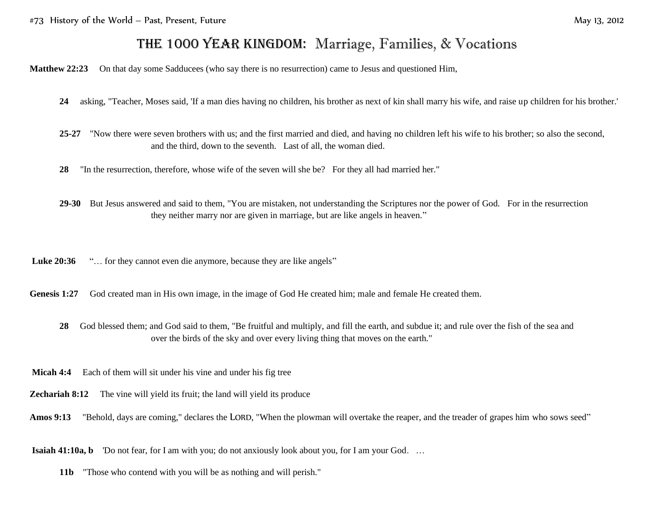## THE 1000 YEAR KINGDOM: Marriage, Families, & Vocations

**Matthew 22:23** On that day some Sadducees (who say there is no resurrection) came to Jesus and questioned Him,

- **24** asking, "Teacher, Moses said, 'If a man dies having no children, his brother as next of kin shall marry his wife, and raise up children for his brother.'
- **25-27** "Now there were seven brothers with us; and the first married and died, and having no children left his wife to his brother; so also the second, and the third, down to the seventh. Last of all, the woman died.
- **28** "In the resurrection, therefore, whose wife of the seven will she be? For they all had married her."
- **29-30** But Jesus answered and said to them, "You are mistaken, not understanding the Scriptures nor the power of God. For in the resurrection they neither marry nor are given in marriage, but are like angels in heaven."

Luke 20:36 "... for they cannot even die anymore, because they are like angels"

Genesis 1:27 God created man in His own image, in the image of God He created him; male and female He created them.

- **28** God blessed them; and God said to them, "Be fruitful and multiply, and fill the earth, and subdue it; and rule over the fish of the sea and over the birds of the sky and over every living thing that moves on the earth."
- **Micah 4:4** Each of them will sit under his vine and under his fig tree
- **Zechariah 8:12** The vine will yield its fruit; the land will yield its produce
- Amos 9:13 "Behold, days are coming," declares the LORD, "When the plowman will overtake the reaper, and the treader of grapes him who sows seed"

**Isaiah 41:10a, b** 'Do not fear, for I am with you; do not anxiously look about you, for I am your God. …

**11b** "Those who contend with you will be as nothing and will perish."